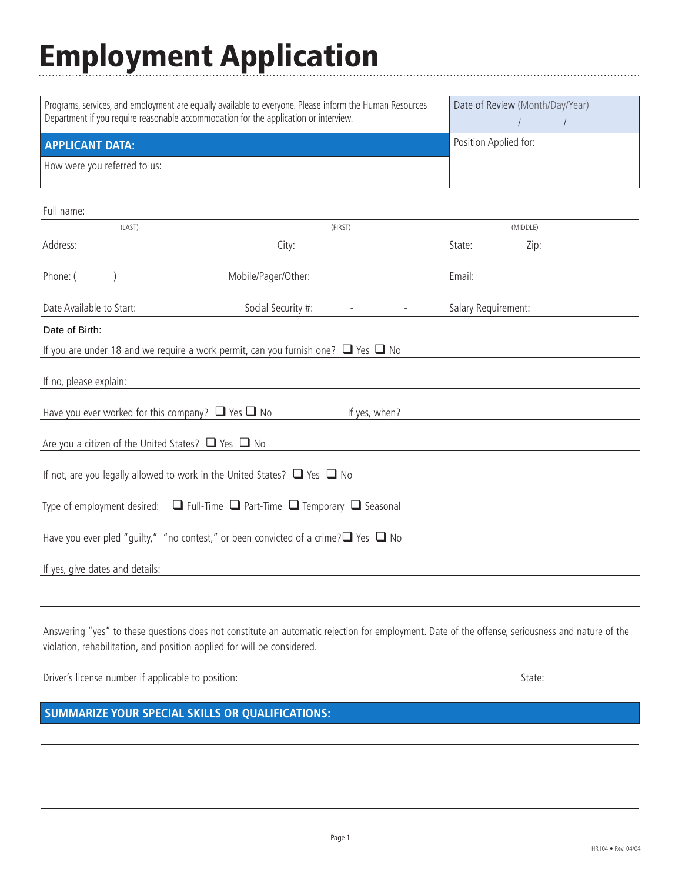## Employment Application

| Programs, services, and employment are equally available to everyone. Please inform the Human Resources<br>Department if you require reasonable accommodation for the application or interview.                             |                     |  | Date of Review (Month/Day/Year) |      | $\sqrt{ }$ |
|-----------------------------------------------------------------------------------------------------------------------------------------------------------------------------------------------------------------------------|---------------------|--|---------------------------------|------|------------|
| <b>APPLICANT DATA:</b>                                                                                                                                                                                                      |                     |  | Position Applied for:           |      |            |
| How were you referred to us:                                                                                                                                                                                                |                     |  |                                 |      |            |
| Full name:                                                                                                                                                                                                                  |                     |  |                                 |      |            |
| (LAST)                                                                                                                                                                                                                      | (FIRST)             |  | (MIDDLE)                        |      |            |
| Address:                                                                                                                                                                                                                    | City:               |  | State:                          | Zip: |            |
| Phone: (                                                                                                                                                                                                                    | Mobile/Pager/Other: |  | Email:                          |      |            |
| Date Available to Start:                                                                                                                                                                                                    | Social Security #:  |  | Salary Requirement:             |      |            |
| Date of Birth:                                                                                                                                                                                                              |                     |  |                                 |      |            |
| If you are under 18 and we require a work permit, can you furnish one? $\Box$ Yes $\Box$ No                                                                                                                                 |                     |  |                                 |      |            |
| If no, please explain:                                                                                                                                                                                                      |                     |  |                                 |      |            |
| Have you ever worked for this company? $\Box$ Yes $\Box$ No<br>If yes, when?                                                                                                                                                |                     |  |                                 |      |            |
| Are you a citizen of the United States? $\Box$ Yes $\Box$ No                                                                                                                                                                |                     |  |                                 |      |            |
| If not, are you legally allowed to work in the United States? $\Box$ Yes $\Box$ No                                                                                                                                          |                     |  |                                 |      |            |
| $\Box$ Full-Time $\Box$ Part-Time $\Box$ Temporary $\Box$ Seasonal<br>Type of employment desired:                                                                                                                           |                     |  |                                 |      |            |
| Have you ever pled "guilty," "no contest," or been convicted of a crime? $\Box$ Yes $\Box$ No                                                                                                                               |                     |  |                                 |      |            |
| If yes, give dates and details:                                                                                                                                                                                             |                     |  |                                 |      |            |
|                                                                                                                                                                                                                             |                     |  |                                 |      |            |
| Answering "yes" to these questions does not constitute an automatic rejection for employment. Date of the offense, seriousness and nature of the<br>violation, rehabilitation, and position applied for will be considered. |                     |  |                                 |      |            |

Driver's license number if applicable to position: State: State: State: State: State: State: State: State: State: State: State: State: State: State: State: State: State: State: State: State: State: State: State: State: Sta

## **SUMMARIZE YOUR SPECIAL SKILLS OR QUALIFICATIONS:**